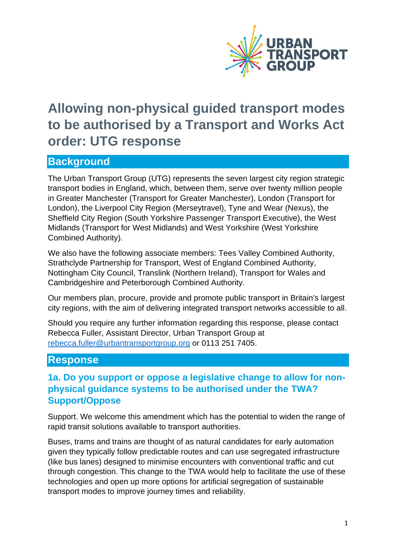

# **Allowing non-physical guided transport modes to be authorised by a Transport and Works Act order: UTG response**

# **Background**

The Urban Transport Group (UTG) represents the seven largest city region strategic transport bodies in England, which, between them, serve over twenty million people in Greater Manchester (Transport for Greater Manchester), London (Transport for London), the Liverpool City Region (Merseytravel), Tyne and Wear (Nexus), the Sheffield City Region (South Yorkshire Passenger Transport Executive), the West Midlands (Transport for West Midlands) and West Yorkshire (West Yorkshire Combined Authority).

We also have the following associate members: Tees Valley Combined Authority, Strathclyde Partnership for Transport, West of England Combined Authority, Nottingham City Council, Translink (Northern Ireland), Transport for Wales and Cambridgeshire and Peterborough Combined Authority.

Our members plan, procure, provide and promote public transport in Britain's largest city regions, with the aim of delivering integrated transport networks accessible to all.

Should you require any further information regarding this response, please contact Rebecca Fuller, Assistant Director, Urban Transport Group at rebecca.fuller@urbantransportgroup.org or 0113 251 7405.

#### **Response**

# **1a. Do you support or oppose a legislative change to allow for nonphysical guidance systems to be authorised under the TWA? Support/Oppose**

Support. We welcome this amendment which has the potential to widen the range of rapid transit solutions available to transport authorities.

Buses, trams and trains are thought of as natural candidates for early automation given they typically follow predictable routes and can use segregated infrastructure (like bus lanes) designed to minimise encounters with conventional traffic and cut through congestion. This change to the TWA would help to facilitate the use of these technologies and open up more options for artificial segregation of sustainable transport modes to improve journey times and reliability.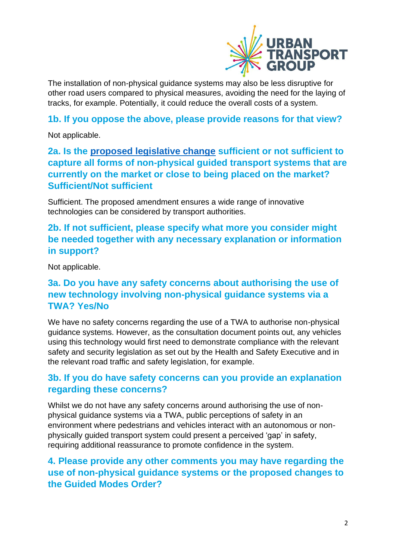

The installation of non-physical guidance systems may also be less disruptive for other road users compared to physical measures, avoiding the need for the laying of tracks, for example. Potentially, it could reduce the overall costs of a system.

#### **1b. If you oppose the above, please provide reasons for that view?**

Not applicable.

**2a. Is the [proposed legislative change](https://www.gov.uk/government/consultations/allowing-non-physical-guided-transport-modes-to-be-authorised-by-a-transport-and-works-act-order/allowing-non-physical-guided-transport-modes-to-be-authorised-by-a-transport-and-works-act-order-consultation-document#the-proposed-change) sufficient or not sufficient to capture all forms of non-physical guided transport systems that are currently on the market or close to being placed on the market? Sufficient/Not sufficient**

Sufficient. The proposed amendment ensures a wide range of innovative technologies can be considered by transport authorities.

# **2b. If not sufficient, please specify what more you consider might be needed together with any necessary explanation or information in support?**

Not applicable.

#### **3a. Do you have any safety concerns about authorising the use of new technology involving non-physical guidance systems via a TWA? Yes/No**

We have no safety concerns regarding the use of a TWA to authorise non-physical guidance systems. However, as the consultation document points out, any vehicles using this technology would first need to demonstrate compliance with the relevant safety and security legislation as set out by the Health and Safety Executive and in the relevant road traffic and safety legislation, for example.

#### **3b. If you do have safety concerns can you provide an explanation regarding these concerns?**

Whilst we do not have any safety concerns around authorising the use of nonphysical guidance systems via a TWA, public perceptions of safety in an environment where pedestrians and vehicles interact with an autonomous or nonphysically guided transport system could present a perceived 'gap' in safety, requiring additional reassurance to promote confidence in the system.

# **4. Please provide any other comments you may have regarding the use of non-physical guidance systems or the proposed changes to the Guided Modes Order?**